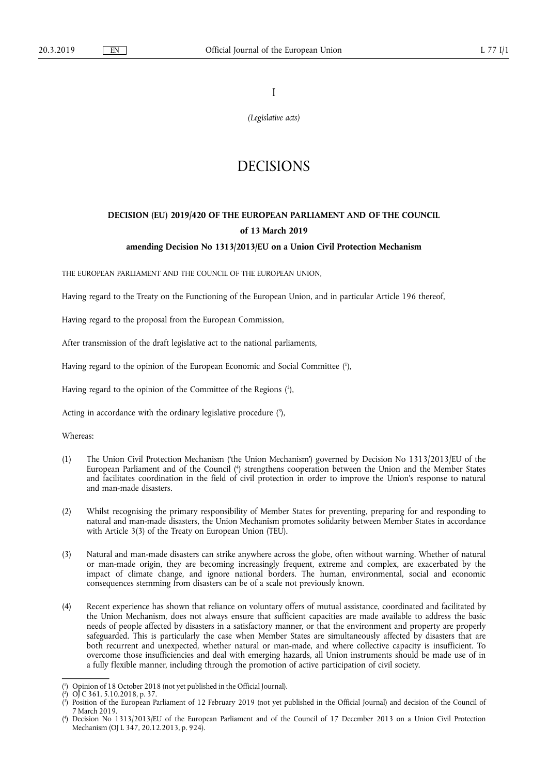I

*(Legislative acts)* 

# DECISIONS

# **DECISION (EU) 2019/420 OF THE EUROPEAN PARLIAMENT AND OF THE COUNCIL of 13 March 2019**

# **amending Decision No 1313/2013/EU on a Union Civil Protection Mechanism**

THE EUROPEAN PARLIAMENT AND THE COUNCIL OF THE EUROPEAN UNION,

Having regard to the Treaty on the Functioning of the European Union, and in particular Article 196 thereof,

Having regard to the proposal from the European Commission,

After transmission of the draft legislative act to the national parliaments,

Having regard to the opinion of the European Economic and Social Committee ( 1 ),

Having regard to the opinion of the Committee of the Regions ( 2 ),

Acting in accordance with the ordinary legislative procedure  $(3)$ ,

Whereas:

- (1) The Union Civil Protection Mechanism ('the Union Mechanism') governed by Decision No 1313/2013/EU of the European Parliament and of the Council ( 4 ) strengthens cooperation between the Union and the Member States and facilitates coordination in the field of civil protection in order to improve the Union's response to natural and man-made disasters.
- (2) Whilst recognising the primary responsibility of Member States for preventing, preparing for and responding to natural and man-made disasters, the Union Mechanism promotes solidarity between Member States in accordance with Article 3(3) of the Treaty on European Union (TEU).
- (3) Natural and man-made disasters can strike anywhere across the globe, often without warning. Whether of natural or man-made origin, they are becoming increasingly frequent, extreme and complex, are exacerbated by the impact of climate change, and ignore national borders. The human, environmental, social and economic consequences stemming from disasters can be of a scale not previously known.
- (4) Recent experience has shown that reliance on voluntary offers of mutual assistance, coordinated and facilitated by the Union Mechanism, does not always ensure that sufficient capacities are made available to address the basic needs of people affected by disasters in a satisfactory manner, or that the environment and property are properly safeguarded. This is particularly the case when Member States are simultaneously affected by disasters that are both recurrent and unexpected, whether natural or man-made, and where collective capacity is insufficient. To overcome those insufficiencies and deal with emerging hazards, all Union instruments should be made use of in a fully flexible manner, including through the promotion of active participation of civil society.

<sup>(</sup> 1 ) Opinion of 18 October 2018 (not yet published in the Official Journal).

<sup>(</sup> 2 ) OJ C 361, 5.10.2018, p. 37.

<sup>(</sup> 3 ) Position of the European Parliament of 12 February 2019 (not yet published in the Official Journal) and decision of the Council of 7 March 2019.

<sup>(</sup> 4 ) Decision No 1313/2013/EU of the European Parliament and of the Council of 17 December 2013 on a Union Civil Protection Mechanism (OJ L 347, 20.12.2013, p. 924).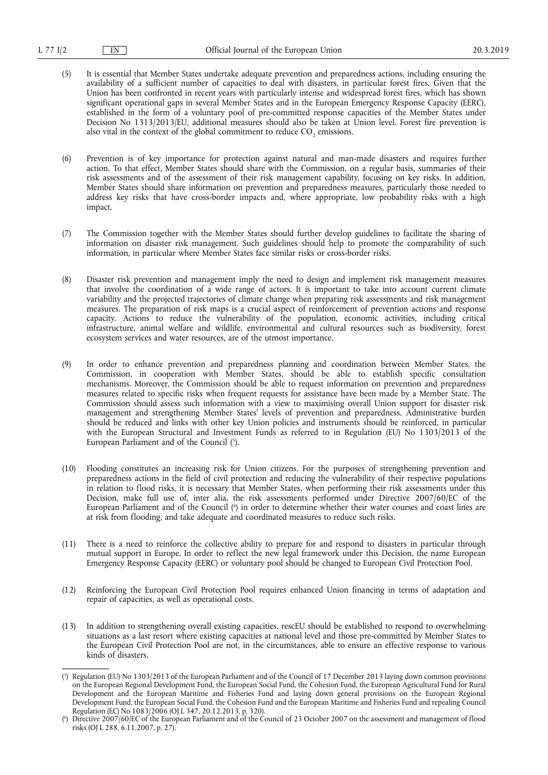- (5) It is essential that Member States undertake adequate prevention and preparedness actions, including ensuring the availability of a sufficient number of capacities to deal with disasters, in particular forest fires. Given that the Union has been confronted in recent years with particularly intense and widespread forest fires, which has shown significant operational gaps in several Member States and in the European Emergency Response Capacity (EERC), established in the form of a voluntary pool of pre-committed response capacities of the Member States under Decision No 1313/2013/EU, additional measures should also be taken at Union level. Forest fire prevention is also vital in the context of the global commitment to reduce  $CO<sub>2</sub>$  emissions.
- (6) Prevention is of key importance for protection against natural and man-made disasters and requires further action. To that effect, Member States should share with the Commission, on a regular basis, summaries of their risk assessments and of the assessment of their risk management capability, focusing on key risks. In addition, Member States should share information on prevention and preparedness measures, particularly those needed to address key risks that have cross-border impacts and, where appropriate, low probability risks with a high impact.
- (7) The Commission together with the Member States should further develop guidelines to facilitate the sharing of information on disaster risk management. Such guidelines should help to promote the comparability of such information, in particular where Member States face similar risks or cross-border risks.
- (8) Disaster risk prevention and management imply the need to design and implement risk management measures that involve the coordination of a wide range of actors. It is important to take into account current climate variability and the projected trajectories of climate change when preparing risk assessments and risk management measures. The preparation of risk maps is a crucial aspect of reinforcement of prevention actions and response capacity. Actions to reduce the vulnerability of the population, economic activities, including critical infrastructure, animal welfare and wildlife, environmental and cultural resources such as biodiversity, forest ecosystem services and water resources, are of the utmost importance.
- (9) In order to enhance prevention and preparedness planning and coordination between Member States, the Commission, in cooperation with Member States, should be able to establish specific consultation mechanisms. Moreover, the Commission should be able to request information on prevention and preparedness measures related to specific risks when frequent requests for assistance have been made by a Member State. The Commission should assess such information with a view to maximising overall Union support for disaster risk management and strengthening Member States' levels of prevention and preparedness. Administrative burden should be reduced and links with other key Union policies and instruments should be reinforced, in particular with the European Structural and Investment Funds as referred to in Regulation (EU) No 1303/2013 of the European Parliament and of the Council (5).
- (10) Flooding constitutes an increasing risk for Union citizens. For the purposes of strengthening prevention and preparedness actions in the field of civil protection and reducing the vulnerability of their respective populations in relation to flood risks, it is necessary that Member States, when performing their risk assessments under this Decision, make full use of, inter alia, the risk assessments performed under Directive 2007/60/EC of the European Parliament and of the Council ( 6 ) in order to determine whether their water courses and coast lines are at risk from flooding, and take adequate and coordinated measures to reduce such risks.
- (11) There is a need to reinforce the collective ability to prepare for and respond to disasters in particular through mutual support in Europe. In order to reflect the new legal framework under this Decision, the name European Emergency Response Capacity (EERC) or voluntary pool should be changed to European Civil Protection Pool.
- (12) Reinforcing the European Civil Protection Pool requires enhanced Union financing in terms of adaptation and repair of capacities, as well as operational costs.
- (13) In addition to strengthening overall existing capacities, rescEU should be established to respond to overwhelming situations as a last resort where existing capacities at national level and those pre-committed by Member States to the European Civil Protection Pool are not, in the circumstances, able to ensure an effective response to various kinds of disasters.

<sup>(</sup> 5 ) Regulation (EU) No 1303/2013 of the European Parliament and of the Council of 17 December 2013 laying down common provisions on the European Regional Development Fund, the European Social Fund, the Cohesion Fund, the European Agricultural Fund for Rural Development and the European Maritime and Fisheries Fund and laying down general provisions on the European Regional Development Fund, the European Social Fund, the Cohesion Fund and the European Maritime and Fisheries Fund and repealing Council Regulation (EC) No 1083/2006 (OJ L 347, 20.12.2013, p. 320).

<sup>(</sup> 6 ) Directive 2007/60/EC of the European Parliament and of the Council of 23 October 2007 on the assessment and management of flood risks (OJ L 288, 6.11.2007, p. 27).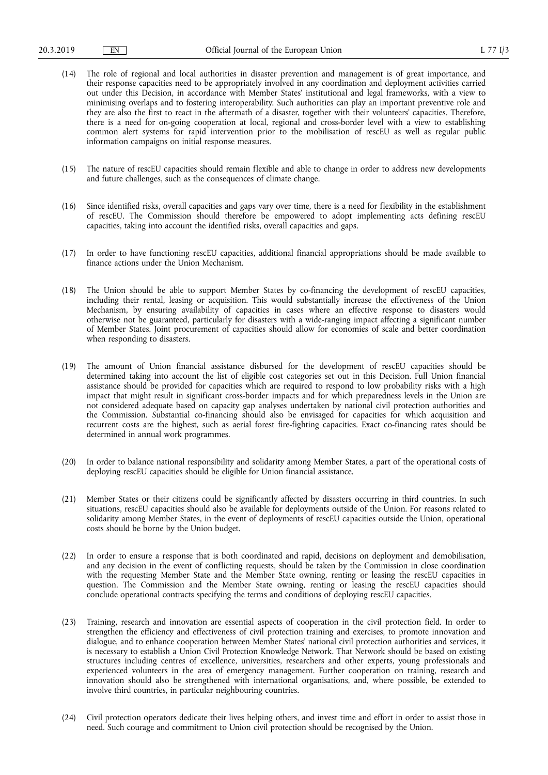- (14) The role of regional and local authorities in disaster prevention and management is of great importance, and their response capacities need to be appropriately involved in any coordination and deployment activities carried out under this Decision, in accordance with Member States' institutional and legal frameworks, with a view to minimising overlaps and to fostering interoperability. Such authorities can play an important preventive role and they are also the first to react in the aftermath of a disaster, together with their volunteers' capacities. Therefore, there is a need for on-going cooperation at local, regional and cross-border level with a view to establishing common alert systems for rapid intervention prior to the mobilisation of rescEU as well as regular public information campaigns on initial response measures.
- (15) The nature of rescEU capacities should remain flexible and able to change in order to address new developments and future challenges, such as the consequences of climate change.
- (16) Since identified risks, overall capacities and gaps vary over time, there is a need for flexibility in the establishment of rescEU. The Commission should therefore be empowered to adopt implementing acts defining rescEU capacities, taking into account the identified risks, overall capacities and gaps.
- (17) In order to have functioning rescEU capacities, additional financial appropriations should be made available to finance actions under the Union Mechanism.
- (18) The Union should be able to support Member States by co-financing the development of rescEU capacities, including their rental, leasing or acquisition. This would substantially increase the effectiveness of the Union Mechanism, by ensuring availability of capacities in cases where an effective response to disasters would otherwise not be guaranteed, particularly for disasters with a wide-ranging impact affecting a significant number of Member States. Joint procurement of capacities should allow for economies of scale and better coordination when responding to disasters.
- (19) The amount of Union financial assistance disbursed for the development of rescEU capacities should be determined taking into account the list of eligible cost categories set out in this Decision. Full Union financial assistance should be provided for capacities which are required to respond to low probability risks with a high impact that might result in significant cross-border impacts and for which preparedness levels in the Union are not considered adequate based on capacity gap analyses undertaken by national civil protection authorities and the Commission. Substantial co-financing should also be envisaged for capacities for which acquisition and recurrent costs are the highest, such as aerial forest fire-fighting capacities. Exact co-financing rates should be determined in annual work programmes.
- (20) In order to balance national responsibility and solidarity among Member States, a part of the operational costs of deploying rescEU capacities should be eligible for Union financial assistance.
- (21) Member States or their citizens could be significantly affected by disasters occurring in third countries. In such situations, rescEU capacities should also be available for deployments outside of the Union. For reasons related to solidarity among Member States, in the event of deployments of rescEU capacities outside the Union, operational costs should be borne by the Union budget.
- (22) In order to ensure a response that is both coordinated and rapid, decisions on deployment and demobilisation, and any decision in the event of conflicting requests, should be taken by the Commission in close coordination with the requesting Member State and the Member State owning, renting or leasing the rescEU capacities in question. The Commission and the Member State owning, renting or leasing the rescEU capacities should conclude operational contracts specifying the terms and conditions of deploying rescEU capacities.
- (23) Training, research and innovation are essential aspects of cooperation in the civil protection field. In order to strengthen the efficiency and effectiveness of civil protection training and exercises, to promote innovation and dialogue, and to enhance cooperation between Member States' national civil protection authorities and services, it is necessary to establish a Union Civil Protection Knowledge Network. That Network should be based on existing structures including centres of excellence, universities, researchers and other experts, young professionals and experienced volunteers in the area of emergency management. Further cooperation on training, research and innovation should also be strengthened with international organisations, and, where possible, be extended to involve third countries, in particular neighbouring countries.
- (24) Civil protection operators dedicate their lives helping others, and invest time and effort in order to assist those in need. Such courage and commitment to Union civil protection should be recognised by the Union.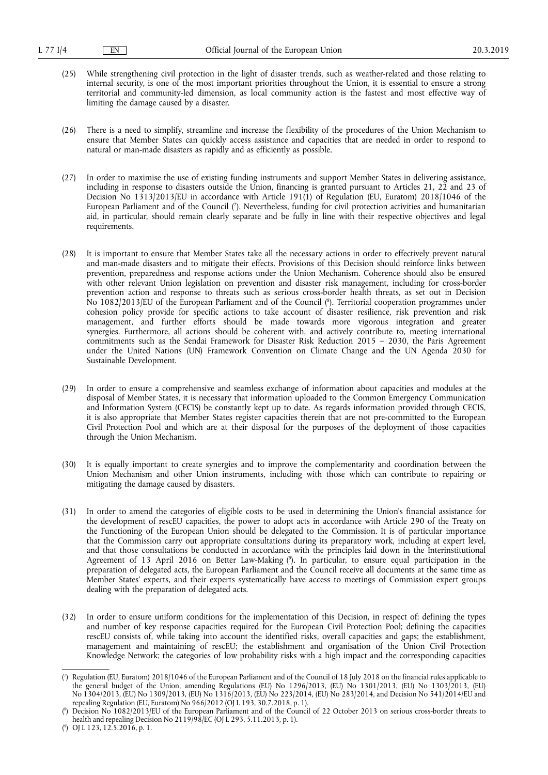- (25) While strengthening civil protection in the light of disaster trends, such as weather-related and those relating to internal security, is one of the most important priorities throughout the Union, it is essential to ensure a strong territorial and community-led dimension, as local community action is the fastest and most effective way of limiting the damage caused by a disaster.
- (26) There is a need to simplify, streamline and increase the flexibility of the procedures of the Union Mechanism to ensure that Member States can quickly access assistance and capacities that are needed in order to respond to natural or man-made disasters as rapidly and as efficiently as possible.
- (27) In order to maximise the use of existing funding instruments and support Member States in delivering assistance, including in response to disasters outside the Union, financing is granted pursuant to Articles 21, 22 and 23 of Decision No 1313/2013/EU in accordance with Article 191(1) of Regulation (EU, Euratom) 2018/1046 of the European Parliament and of the Council ( 7 ). Nevertheless, funding for civil protection activities and humanitarian aid, in particular, should remain clearly separate and be fully in line with their respective objectives and legal requirements.
- (28) It is important to ensure that Member States take all the necessary actions in order to effectively prevent natural and man-made disasters and to mitigate their effects. Provisions of this Decision should reinforce links between prevention, preparedness and response actions under the Union Mechanism. Coherence should also be ensured with other relevant Union legislation on prevention and disaster risk management, including for cross-border prevention action and response to threats such as serious cross-border health threats, as set out in Decision No 1082/2013/EU of the European Parliament and of the Council ( 8 ). Territorial cooperation programmes under cohesion policy provide for specific actions to take account of disaster resilience, risk prevention and risk management, and further efforts should be made towards more vigorous integration and greater synergies. Furthermore, all actions should be coherent with, and actively contribute to, meeting international commitments such as the Sendai Framework for Disaster Risk Reduction 2015 – 2030, the Paris Agreement under the United Nations (UN) Framework Convention on Climate Change and the UN Agenda 2030 for Sustainable Development.
- (29) In order to ensure a comprehensive and seamless exchange of information about capacities and modules at the disposal of Member States, it is necessary that information uploaded to the Common Emergency Communication and Information System (CECIS) be constantly kept up to date. As regards information provided through CECIS, it is also appropriate that Member States register capacities therein that are not pre-committed to the European Civil Protection Pool and which are at their disposal for the purposes of the deployment of those capacities through the Union Mechanism.
- (30) It is equally important to create synergies and to improve the complementarity and coordination between the Union Mechanism and other Union instruments, including with those which can contribute to repairing or mitigating the damage caused by disasters.
- (31) In order to amend the categories of eligible costs to be used in determining the Union's financial assistance for the development of rescEU capacities, the power to adopt acts in accordance with Article 290 of the Treaty on the Functioning of the European Union should be delegated to the Commission. It is of particular importance that the Commission carry out appropriate consultations during its preparatory work, including at expert level, and that those consultations be conducted in accordance with the principles laid down in the Interinstitutional Agreement of 13 April 2016 on Better Law-Making ( 9 ). In particular, to ensure equal participation in the preparation of delegated acts, the European Parliament and the Council receive all documents at the same time as Member States' experts, and their experts systematically have access to meetings of Commission expert groups dealing with the preparation of delegated acts.
- (32) In order to ensure uniform conditions for the implementation of this Decision, in respect of: defining the types and number of key response capacities required for the European Civil Protection Pool; defining the capacities rescEU consists of, while taking into account the identified risks, overall capacities and gaps; the establishment, management and maintaining of rescEU; the establishment and organisation of the Union Civil Protection Knowledge Network; the categories of low probability risks with a high impact and the corresponding capacities

<sup>(</sup> 7 ) Regulation (EU, Euratom) 2018/1046 of the European Parliament and of the Council of 18 July 2018 on the financial rules applicable to the general budget of the Union, amending Regulations (EU) No 1296/2013, (EU) No 1301/2013, (EU) No 1303/2013, (EU) No 1304/2013, (EU) No 1309/2013, (EU) No 1316/2013, (EU) No 223/2014, (EU) No 283/2014, and Decision No 541/2014/EU and repealing Regulation (EU, Euratom) No 966/2012 (OJ L 193, 30.7.2018, p. 1).

<sup>(</sup> 8 ) Decision No 1082/2013/EU of the European Parliament and of the Council of 22 October 2013 on serious cross-border threats to health and repealing Decision No 2119/98/EC (OJ L 293, 5.11.2013, p. 1).

<sup>(</sup> 9 ) OJ L 123, 12.5.2016, p. 1.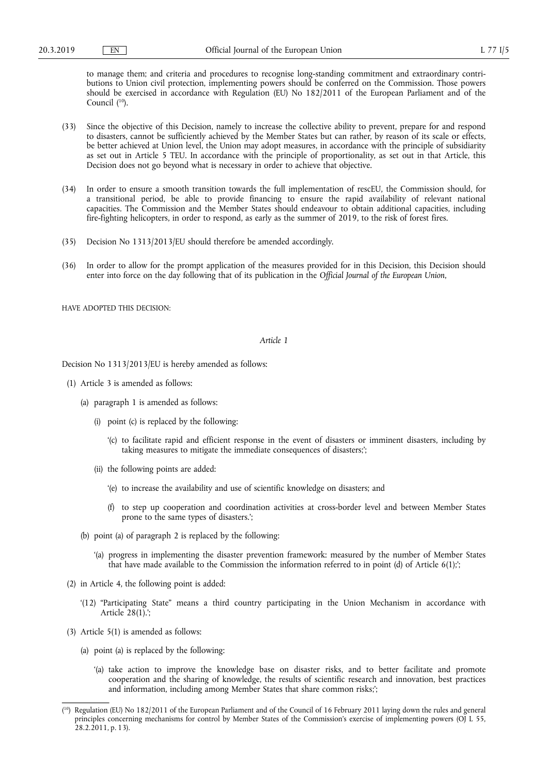to manage them; and criteria and procedures to recognise long-standing commitment and extraordinary contributions to Union civil protection, implementing powers should be conferred on the Commission. Those powers should be exercised in accordance with Regulation (EU) No 182/2011 of the European Parliament and of the Council ( 10).

- (33) Since the objective of this Decision, namely to increase the collective ability to prevent, prepare for and respond to disasters, cannot be sufficiently achieved by the Member States but can rather, by reason of its scale or effects, be better achieved at Union level, the Union may adopt measures, in accordance with the principle of subsidiarity as set out in Article 5 TEU. In accordance with the principle of proportionality, as set out in that Article, this Decision does not go beyond what is necessary in order to achieve that objective.
- (34) In order to ensure a smooth transition towards the full implementation of rescEU, the Commission should, for a transitional period, be able to provide financing to ensure the rapid availability of relevant national capacities. The Commission and the Member States should endeavour to obtain additional capacities, including fire-fighting helicopters, in order to respond, as early as the summer of 2019, to the risk of forest fires.
- (35) Decision No 1313/2013/EU should therefore be amended accordingly.
- (36) In order to allow for the prompt application of the measures provided for in this Decision, this Decision should enter into force on the day following that of its publication in the *Official Journal of the European Union*,

HAVE ADOPTED THIS DECISION:

## *Article 1*

Decision No 1313/2013/EU is hereby amended as follows:

- (1) Article 3 is amended as follows:
	- (a) paragraph 1 is amended as follows:
		- (i) point (c) is replaced by the following:
			- '(c) to facilitate rapid and efficient response in the event of disasters or imminent disasters, including by taking measures to mitigate the immediate consequences of disasters;';
		- (ii) the following points are added:
			- '(e) to increase the availability and use of scientific knowledge on disasters; and
			- (f) to step up cooperation and coordination activities at cross-border level and between Member States prone to the same types of disasters.';
	- (b) point (a) of paragraph 2 is replaced by the following:
		- '(a) progress in implementing the disaster prevention framework: measured by the number of Member States that have made available to the Commission the information referred to in point (d) of Article 6(1);';
- (2) in Article 4, the following point is added:
	- '(12) "Participating State" means a third country participating in the Union Mechanism in accordance with Article  $28(1)$ .
- (3) Article 5(1) is amended as follows:
	- (a) point (a) is replaced by the following:
		- '(a) take action to improve the knowledge base on disaster risks, and to better facilitate and promote cooperation and the sharing of knowledge, the results of scientific research and innovation, best practices and information, including among Member States that share common risks;';

<sup>(</sup> 10) Regulation (EU) No 182/2011 of the European Parliament and of the Council of 16 February 2011 laying down the rules and general principles concerning mechanisms for control by Member States of the Commission's exercise of implementing powers (OJ L 55, 28.2.2011, p. 13).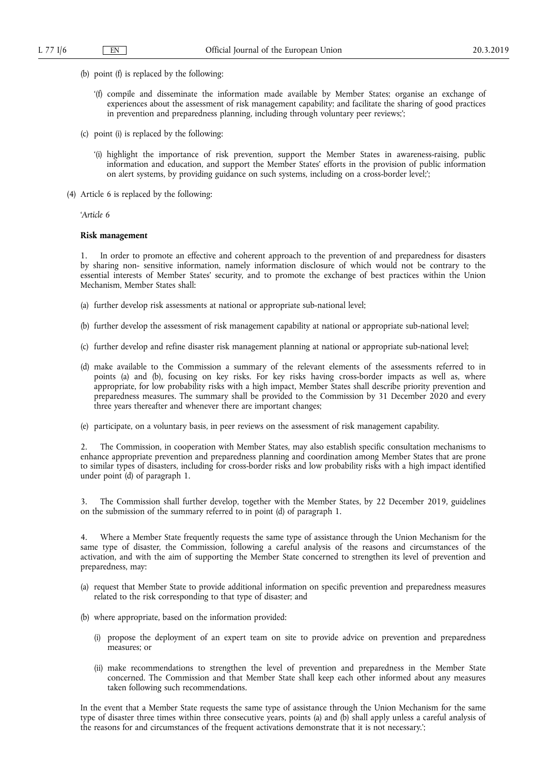- (b) point (f) is replaced by the following:
	- '(f) compile and disseminate the information made available by Member States; organise an exchange of experiences about the assessment of risk management capability; and facilitate the sharing of good practices in prevention and preparedness planning, including through voluntary peer reviews;';
- (c) point (i) is replaced by the following:
	- '(i) highlight the importance of risk prevention, support the Member States in awareness-raising, public information and education, and support the Member States' efforts in the provision of public information on alert systems, by providing guidance on such systems, including on a cross-border level;';
- (4) Article 6 is replaced by the following:

'*Article 6* 

## **Risk management**

1. In order to promote an effective and coherent approach to the prevention of and preparedness for disasters by sharing non- sensitive information, namely information disclosure of which would not be contrary to the essential interests of Member States' security, and to promote the exchange of best practices within the Union Mechanism, Member States shall:

- (a) further develop risk assessments at national or appropriate sub-national level;
- (b) further develop the assessment of risk management capability at national or appropriate sub-national level;
- (c) further develop and refine disaster risk management planning at national or appropriate sub-national level;
- (d) make available to the Commission a summary of the relevant elements of the assessments referred to in points (a) and (b), focusing on key risks. For key risks having cross-border impacts as well as, where appropriate, for low probability risks with a high impact, Member States shall describe priority prevention and preparedness measures. The summary shall be provided to the Commission by 31 December 2020 and every three years thereafter and whenever there are important changes;
- (e) participate, on a voluntary basis, in peer reviews on the assessment of risk management capability.

2. The Commission, in cooperation with Member States, may also establish specific consultation mechanisms to enhance appropriate prevention and preparedness planning and coordination among Member States that are prone to similar types of disasters, including for cross-border risks and low probability risks with a high impact identified under point (d) of paragraph 1.

3. The Commission shall further develop, together with the Member States, by 22 December 2019, guidelines on the submission of the summary referred to in point (d) of paragraph 1.

4. Where a Member State frequently requests the same type of assistance through the Union Mechanism for the same type of disaster, the Commission, following a careful analysis of the reasons and circumstances of the activation, and with the aim of supporting the Member State concerned to strengthen its level of prevention and preparedness, may:

- (a) request that Member State to provide additional information on specific prevention and preparedness measures related to the risk corresponding to that type of disaster; and
- (b) where appropriate, based on the information provided:
	- (i) propose the deployment of an expert team on site to provide advice on prevention and preparedness measures; or
	- (ii) make recommendations to strengthen the level of prevention and preparedness in the Member State concerned. The Commission and that Member State shall keep each other informed about any measures taken following such recommendations.

In the event that a Member State requests the same type of assistance through the Union Mechanism for the same type of disaster three times within three consecutive years, points (a) and (b) shall apply unless a careful analysis of the reasons for and circumstances of the frequent activations demonstrate that it is not necessary.';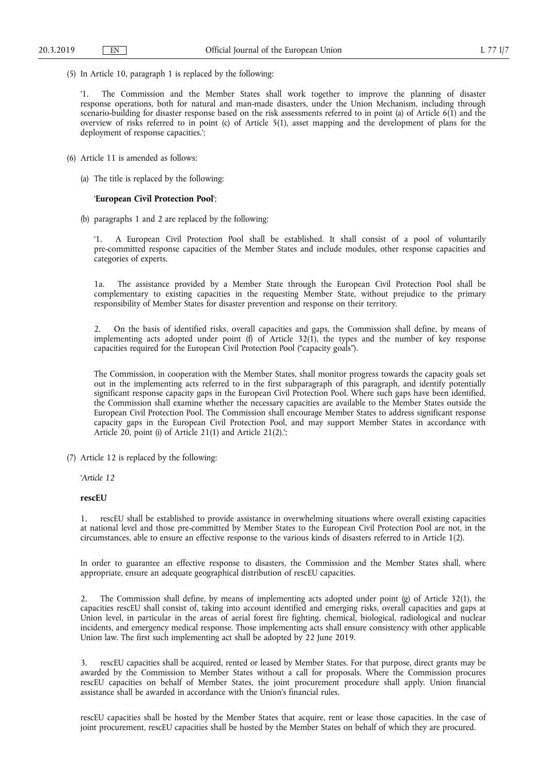(5) In Article 10, paragraph 1 is replaced by the following:

'1. The Commission and the Member States shall work together to improve the planning of disaster response operations, both for natural and man-made disasters, under the Union Mechanism, including through scenario-building for disaster response based on the risk assessments referred to in point (a) of Article 6(1) and the overview of risks referred to in point (c) of Article 5(1), asset mapping and the development of plans for the deployment of response capacities.';

- (6) Article 11 is amended as follows:
	- (a) The title is replaced by the following:

## '**European Civil Protection Pool**';

(b) paragraphs 1 and 2 are replaced by the following:

'1. A European Civil Protection Pool shall be established. It shall consist of a pool of voluntarily pre-committed response capacities of the Member States and include modules, other response capacities and categories of experts.

1a. The assistance provided by a Member State through the European Civil Protection Pool shall be complementary to existing capacities in the requesting Member State, without prejudice to the primary responsibility of Member States for disaster prevention and response on their territory.

2. On the basis of identified risks, overall capacities and gaps, the Commission shall define, by means of implementing acts adopted under point (f) of Article  $32(1)$ , the types and the number of key response capacities required for the European Civil Protection Pool ("capacity goals").

The Commission, in cooperation with the Member States, shall monitor progress towards the capacity goals set out in the implementing acts referred to in the first subparagraph of this paragraph, and identify potentially significant response capacity gaps in the European Civil Protection Pool. Where such gaps have been identified, the Commission shall examine whether the necessary capacities are available to the Member States outside the European Civil Protection Pool. The Commission shall encourage Member States to address significant response capacity gaps in the European Civil Protection Pool, and may support Member States in accordance with Article 20, point (i) of Article 21(1) and Article 21(2).';

(7) Article 12 is replaced by the following:

'*Article 12* 

#### **rescEU**

1. rescEU shall be established to provide assistance in overwhelming situations where overall existing capacities at national level and those pre-committed by Member States to the European Civil Protection Pool are not, in the circumstances, able to ensure an effective response to the various kinds of disasters referred to in Article 1(2).

In order to guarantee an effective response to disasters, the Commission and the Member States shall, where appropriate, ensure an adequate geographical distribution of rescEU capacities.

2. The Commission shall define, by means of implementing acts adopted under point (g) of Article 32(1), the capacities rescEU shall consist of, taking into account identified and emerging risks, overall capacities and gaps at Union level, in particular in the areas of aerial forest fire fighting, chemical, biological, radiological and nuclear incidents, and emergency medical response. Those implementing acts shall ensure consistency with other applicable Union law. The first such implementing act shall be adopted by 22 June 2019.

3. rescEU capacities shall be acquired, rented or leased by Member States. For that purpose, direct grants may be awarded by the Commission to Member States without a call for proposals. Where the Commission procures rescEU capacities on behalf of Member States, the joint procurement procedure shall apply. Union financial assistance shall be awarded in accordance with the Union's financial rules.

rescEU capacities shall be hosted by the Member States that acquire, rent or lease those capacities. In the case of joint procurement, rescEU capacities shall be hosted by the Member States on behalf of which they are procured.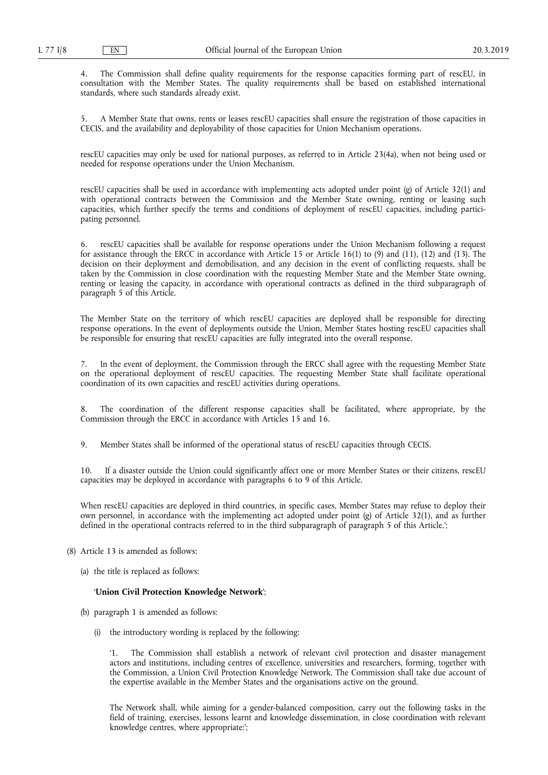4. The Commission shall define quality requirements for the response capacities forming part of rescEU, in consultation with the Member States. The quality requirements shall be based on established international standards, where such standards already exist.

5. A Member State that owns, rents or leases rescEU capacities shall ensure the registration of those capacities in CECIS, and the availability and deployability of those capacities for Union Mechanism operations.

rescEU capacities may only be used for national purposes, as referred to in Article 23(4a), when not being used or needed for response operations under the Union Mechanism.

rescEU capacities shall be used in accordance with implementing acts adopted under point (g) of Article 32(1) and with operational contracts between the Commission and the Member State owning, renting or leasing such capacities, which further specify the terms and conditions of deployment of rescEU capacities, including participating personnel.

rescEU capacities shall be available for response operations under the Union Mechanism following a request for assistance through the ERCC in accordance with Article 15 or Article 16(1) to (9) and (11), (12) and (13). The decision on their deployment and demobilisation, and any decision in the event of conflicting requests, shall be taken by the Commission in close coordination with the requesting Member State and the Member State owning, renting or leasing the capacity, in accordance with operational contracts as defined in the third subparagraph of paragraph 5 of this Article.

The Member State on the territory of which rescEU capacities are deployed shall be responsible for directing response operations. In the event of deployments outside the Union, Member States hosting rescEU capacities shall be responsible for ensuring that rescEU capacities are fully integrated into the overall response.

7. In the event of deployment, the Commission through the ERCC shall agree with the requesting Member State on the operational deployment of rescEU capacities. The requesting Member State shall facilitate operational coordination of its own capacities and rescEU activities during operations.

8. The coordination of the different response capacities shall be facilitated, where appropriate, by the Commission through the ERCC in accordance with Articles 15 and 16.

9. Member States shall be informed of the operational status of rescEU capacities through CECIS.

10. If a disaster outside the Union could significantly affect one or more Member States or their citizens, rescEU capacities may be deployed in accordance with paragraphs 6 to 9 of this Article.

When rescEU capacities are deployed in third countries, in specific cases, Member States may refuse to deploy their own personnel, in accordance with the implementing act adopted under point (g) of Article 32(1), and as further defined in the operational contracts referred to in the third subparagraph of paragraph 5 of this Article.';

- (8) Article 13 is amended as follows:
	- (a) the title is replaced as follows:

#### '**Union Civil Protection Knowledge Network**';

- (b) paragraph 1 is amended as follows:
	- (i) the introductory wording is replaced by the following:

'1. The Commission shall establish a network of relevant civil protection and disaster management actors and institutions, including centres of excellence, universities and researchers, forming, together with the Commission, a Union Civil Protection Knowledge Network. The Commission shall take due account of the expertise available in the Member States and the organisations active on the ground.

The Network shall, while aiming for a gender-balanced composition, carry out the following tasks in the field of training, exercises, lessons learnt and knowledge dissemination, in close coordination with relevant knowledge centres, where appropriate:';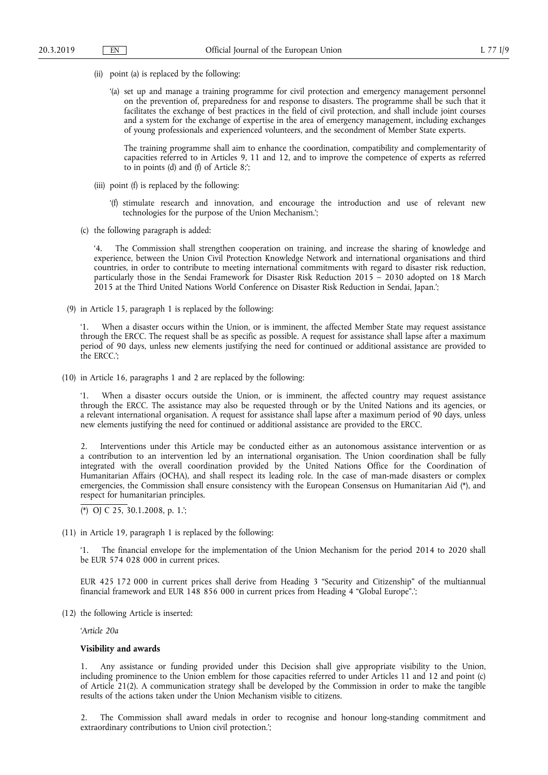- (ii) point (a) is replaced by the following:
	- '(a) set up and manage a training programme for civil protection and emergency management personnel on the prevention of, preparedness for and response to disasters. The programme shall be such that it facilitates the exchange of best practices in the field of civil protection, and shall include joint courses and a system for the exchange of expertise in the area of emergency management, including exchanges of young professionals and experienced volunteers, and the secondment of Member State experts.

The training programme shall aim to enhance the coordination, compatibility and complementarity of capacities referred to in Articles 9, 11 and 12, and to improve the competence of experts as referred to in points (d) and (f) of Article 8;';

- (iii) point (f) is replaced by the following:
	- '(f) stimulate research and innovation, and encourage the introduction and use of relevant new technologies for the purpose of the Union Mechanism.';
- (c) the following paragraph is added:

The Commission shall strengthen cooperation on training, and increase the sharing of knowledge and experience, between the Union Civil Protection Knowledge Network and international organisations and third countries, in order to contribute to meeting international commitments with regard to disaster risk reduction, particularly those in the Sendai Framework for Disaster Risk Reduction 2015 – 2030 adopted on 18 March 2015 at the Third United Nations World Conference on Disaster Risk Reduction in Sendai, Japan.';

(9) in Article 15, paragraph 1 is replaced by the following:

'1. When a disaster occurs within the Union, or is imminent, the affected Member State may request assistance through the ERCC. The request shall be as specific as possible. A request for assistance shall lapse after a maximum period of 90 days, unless new elements justifying the need for continued or additional assistance are provided to the ERCC.';

(10) in Article 16, paragraphs 1 and 2 are replaced by the following:

When a disaster occurs outside the Union, or is imminent, the affected country may request assistance through the ERCC. The assistance may also be requested through or by the United Nations and its agencies, or a relevant international organisation. A request for assistance shall lapse after a maximum period of 90 days, unless new elements justifying the need for continued or additional assistance are provided to the ERCC.

2. Interventions under this Article may be conducted either as an autonomous assistance intervention or as a contribution to an intervention led by an international organisation. The Union coordination shall be fully integrated with the overall coordination provided by the United Nations Office for the Coordination of Humanitarian Affairs (OCHA), and shall respect its leading role. In the case of man-made disasters or complex emergencies, the Commission shall ensure consistency with the European Consensus on Humanitarian Aid (\*), and respect for humanitarian principles.

(\*) OJ C 25, 30.1.2008, p. 1.';

(11) in Article 19, paragraph 1 is replaced by the following:

'1. The financial envelope for the implementation of the Union Mechanism for the period 2014 to 2020 shall be EUR 574 028 000 in current prices.

EUR 425 172 000 in current prices shall derive from Heading 3 "Security and Citizenship" of the multiannual financial framework and EUR 148 856 000 in current prices from Heading 4 "Global Europe".';

(12) the following Article is inserted:

'*Article 20a* 

# **Visibility and awards**

1. Any assistance or funding provided under this Decision shall give appropriate visibility to the Union, including prominence to the Union emblem for those capacities referred to under Articles 11 and 12 and point (c) of Article 21(2). A communication strategy shall be developed by the Commission in order to make the tangible results of the actions taken under the Union Mechanism visible to citizens.

2. The Commission shall award medals in order to recognise and honour long-standing commitment and extraordinary contributions to Union civil protection.';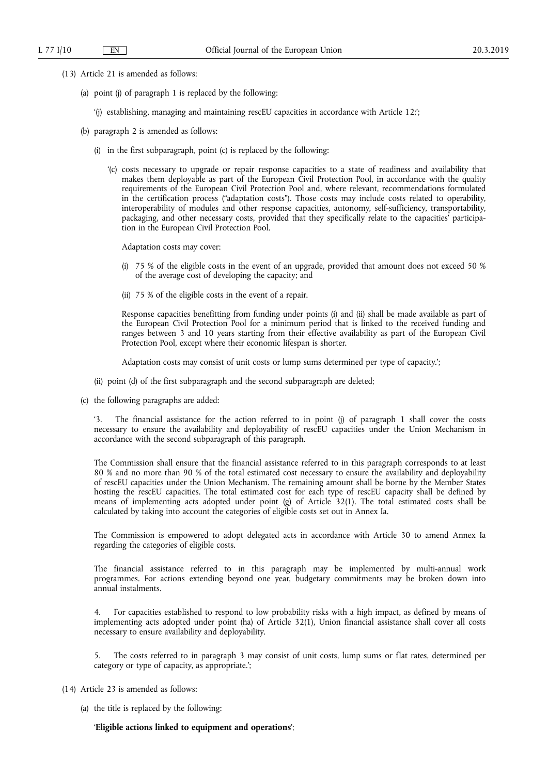- (13) Article 21 is amended as follows:
	- (a) point (j) of paragraph 1 is replaced by the following:
		- '(j) establishing, managing and maintaining rescEU capacities in accordance with Article 12;';
	- (b) paragraph 2 is amended as follows:
		- (i) in the first subparagraph, point (c) is replaced by the following:
			- '(c) costs necessary to upgrade or repair response capacities to a state of readiness and availability that makes them deployable as part of the European Civil Protection Pool, in accordance with the quality requirements of the European Civil Protection Pool and, where relevant, recommendations formulated in the certification process ("adaptation costs"). Those costs may include costs related to operability, interoperability of modules and other response capacities, autonomy, self-sufficiency, transportability, packaging, and other necessary costs, provided that they specifically relate to the capacities' participation in the European Civil Protection Pool.

Adaptation costs may cover:

- (i) 75 % of the eligible costs in the event of an upgrade, provided that amount does not exceed 50 % of the average cost of developing the capacity; and
- (ii) 75 % of the eligible costs in the event of a repair.

Response capacities benefitting from funding under points (i) and (ii) shall be made available as part of the European Civil Protection Pool for a minimum period that is linked to the received funding and ranges between 3 and 10 years starting from their effective availability as part of the European Civil Protection Pool, except where their economic lifespan is shorter.

Adaptation costs may consist of unit costs or lump sums determined per type of capacity.';

- (ii) point (d) of the first subparagraph and the second subparagraph are deleted;
- (c) the following paragraphs are added:

'3. The financial assistance for the action referred to in point (j) of paragraph 1 shall cover the costs necessary to ensure the availability and deployability of rescEU capacities under the Union Mechanism in accordance with the second subparagraph of this paragraph.

The Commission shall ensure that the financial assistance referred to in this paragraph corresponds to at least 80 % and no more than 90 % of the total estimated cost necessary to ensure the availability and deployability of rescEU capacities under the Union Mechanism. The remaining amount shall be borne by the Member States hosting the rescEU capacities. The total estimated cost for each type of rescEU capacity shall be defined by means of implementing acts adopted under point (g) of Article 32(1). The total estimated costs shall be calculated by taking into account the categories of eligible costs set out in Annex Ia.

The Commission is empowered to adopt delegated acts in accordance with Article 30 to amend Annex Ia regarding the categories of eligible costs.

The financial assistance referred to in this paragraph may be implemented by multi-annual work programmes. For actions extending beyond one year, budgetary commitments may be broken down into annual instalments.

4. For capacities established to respond to low probability risks with a high impact, as defined by means of implementing acts adopted under point (ha) of Article 32(1), Union financial assistance shall cover all costs necessary to ensure availability and deployability.

5. The costs referred to in paragraph 3 may consist of unit costs, lump sums or flat rates, determined per category or type of capacity, as appropriate.';

- (14) Article 23 is amended as follows:
	- (a) the title is replaced by the following:

#### '**Eligible actions linked to equipment and operations**';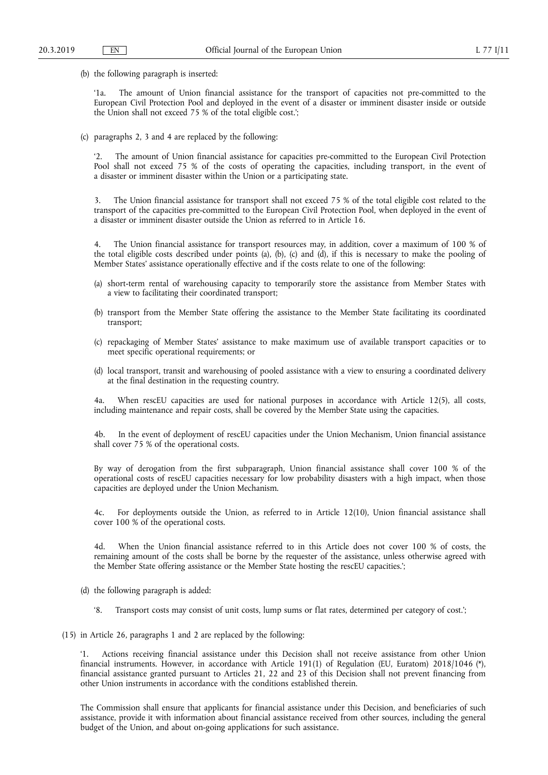(b) the following paragraph is inserted:

'1a. The amount of Union financial assistance for the transport of capacities not pre-committed to the European Civil Protection Pool and deployed in the event of a disaster or imminent disaster inside or outside the Union shall not exceed 75 % of the total eligible cost.';

(c) paragraphs 2, 3 and 4 are replaced by the following:

'2. The amount of Union financial assistance for capacities pre-committed to the European Civil Protection Pool shall not exceed 75 % of the costs of operating the capacities, including transport, in the event of a disaster or imminent disaster within the Union or a participating state.

The Union financial assistance for transport shall not exceed 75 % of the total eligible cost related to the transport of the capacities pre-committed to the European Civil Protection Pool, when deployed in the event of a disaster or imminent disaster outside the Union as referred to in Article 16.

4. The Union financial assistance for transport resources may, in addition, cover a maximum of 100 % of the total eligible costs described under points (a), (b), (c) and (d), if this is necessary to make the pooling of Member States' assistance operationally effective and if the costs relate to one of the following:

- (a) short-term rental of warehousing capacity to temporarily store the assistance from Member States with a view to facilitating their coordinated transport;
- (b) transport from the Member State offering the assistance to the Member State facilitating its coordinated transport;
- (c) repackaging of Member States' assistance to make maximum use of available transport capacities or to meet specific operational requirements; or
- (d) local transport, transit and warehousing of pooled assistance with a view to ensuring a coordinated delivery at the final destination in the requesting country.

When rescEU capacities are used for national purposes in accordance with Article 12(5), all costs, including maintenance and repair costs, shall be covered by the Member State using the capacities.

4b. In the event of deployment of rescEU capacities under the Union Mechanism, Union financial assistance shall cover 75 % of the operational costs.

By way of derogation from the first subparagraph, Union financial assistance shall cover 100 % of the operational costs of rescEU capacities necessary for low probability disasters with a high impact, when those capacities are deployed under the Union Mechanism.

4c. For deployments outside the Union, as referred to in Article 12(10), Union financial assistance shall cover 100 % of the operational costs.

4d. When the Union financial assistance referred to in this Article does not cover 100 % of costs, the remaining amount of the costs shall be borne by the requester of the assistance, unless otherwise agreed with the Member State offering assistance or the Member State hosting the rescEU capacities.';

(d) the following paragraph is added:

'8. Transport costs may consist of unit costs, lump sums or flat rates, determined per category of cost.';

(15) in Article 26, paragraphs 1 and 2 are replaced by the following:

Actions receiving financial assistance under this Decision shall not receive assistance from other Union financial instruments. However, in accordance with Article 191(1) of Regulation (EU, Euratom) 2018/1046 (\*), financial assistance granted pursuant to Articles 21, 22 and 23 of this Decision shall not prevent financing from other Union instruments in accordance with the conditions established therein.

The Commission shall ensure that applicants for financial assistance under this Decision, and beneficiaries of such assistance, provide it with information about financial assistance received from other sources, including the general budget of the Union, and about on-going applications for such assistance.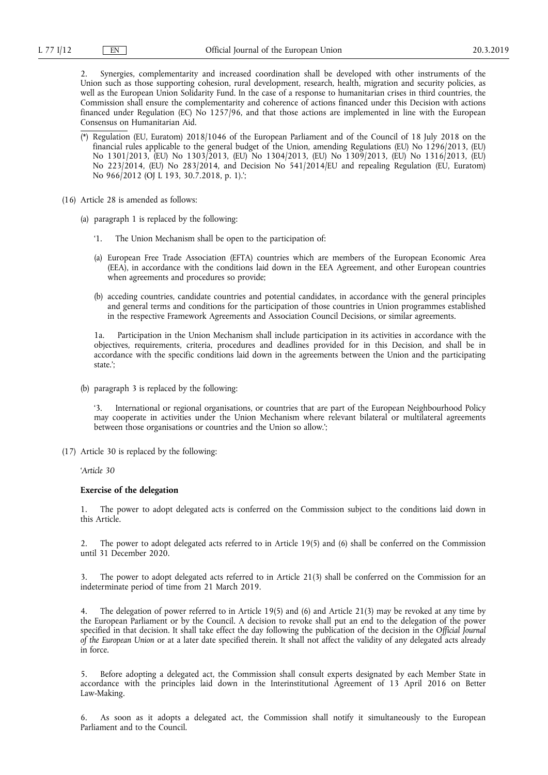2. Synergies, complementarity and increased coordination shall be developed with other instruments of the Union such as those supporting cohesion, rural development, research, health, migration and security policies, as well as the European Union Solidarity Fund. In the case of a response to humanitarian crises in third countries, the Commission shall ensure the complementarity and coherence of actions financed under this Decision with actions financed under Regulation (EC) No 1257/96, and that those actions are implemented in line with the European Consensus on Humanitarian Aid.

- (\*) Regulation (EU, Euratom) 2018/1046 of the European Parliament and of the Council of 18 July 2018 on the financial rules applicable to the general budget of the Union, amending Regulations (EU) No 1296/2013, (EU) No 1301/2013, (EU) No 1303/2013, (EU) No 1304/2013, (EU) No 1309/2013, (EU) No 1316/2013, (EU) No 223/2014, (EU) No 283/2014, and Decision No 541/2014/EU and repealing Regulation (EU, Euratom) No 966/2012 (OJ L 193, 30.7.2018, p. 1).';
- (16) Article 28 is amended as follows:
	- (a) paragraph 1 is replaced by the following:
		- '1. The Union Mechanism shall be open to the participation of:
		- (a) European Free Trade Association (EFTA) countries which are members of the European Economic Area (EEA), in accordance with the conditions laid down in the EEA Agreement, and other European countries when agreements and procedures so provide;
		- (b) acceding countries, candidate countries and potential candidates, in accordance with the general principles and general terms and conditions for the participation of those countries in Union programmes established in the respective Framework Agreements and Association Council Decisions, or similar agreements.

1a. Participation in the Union Mechanism shall include participation in its activities in accordance with the objectives, requirements, criteria, procedures and deadlines provided for in this Decision, and shall be in accordance with the specific conditions laid down in the agreements between the Union and the participating state.';

(b) paragraph 3 is replaced by the following:

'3. International or regional organisations, or countries that are part of the European Neighbourhood Policy may cooperate in activities under the Union Mechanism where relevant bilateral or multilateral agreements between those organisations or countries and the Union so allow.';

(17) Article 30 is replaced by the following:

'*Article 30* 

## **Exercise of the delegation**

1. The power to adopt delegated acts is conferred on the Commission subject to the conditions laid down in this Article.

2. The power to adopt delegated acts referred to in Article 19(5) and (6) shall be conferred on the Commission until 31 December 2020.

The power to adopt delegated acts referred to in Article 21(3) shall be conferred on the Commission for an indeterminate period of time from 21 March 2019.

The delegation of power referred to in Article 19(5) and (6) and Article 21(3) may be revoked at any time by the European Parliament or by the Council. A decision to revoke shall put an end to the delegation of the power specified in that decision. It shall take effect the day following the publication of the decision in the *Official Journal of the European Union* or at a later date specified therein. It shall not affect the validity of any delegated acts already in force.

5. Before adopting a delegated act, the Commission shall consult experts designated by each Member State in accordance with the principles laid down in the Interinstitutional Agreement of 13 April 2016 on Better Law-Making.

6. As soon as it adopts a delegated act, the Commission shall notify it simultaneously to the European Parliament and to the Council.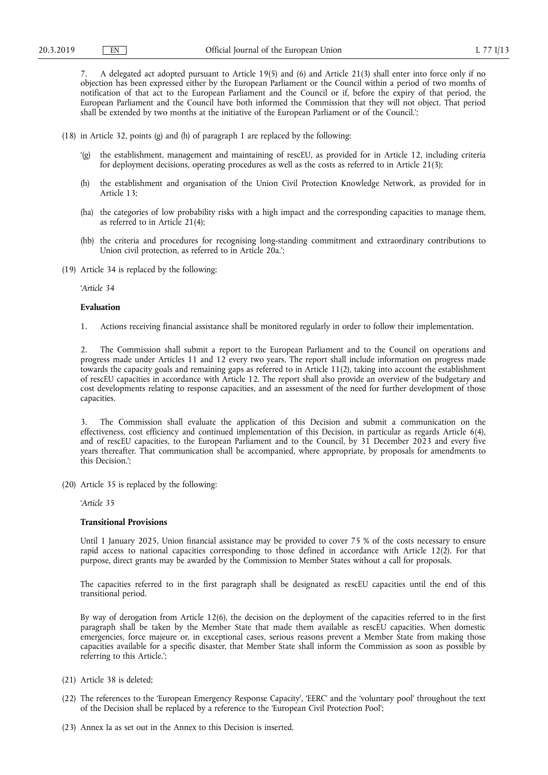7. A delegated act adopted pursuant to Article 19(5) and (6) and Article 21(3) shall enter into force only if no objection has been expressed either by the European Parliament or the Council within a period of two months of notification of that act to the European Parliament and the Council or if, before the expiry of that period, the European Parliament and the Council have both informed the Commission that they will not object. That period shall be extended by two months at the initiative of the European Parliament or of the Council.';

- (18) in Article 32, points (g) and (h) of paragraph 1 are replaced by the following:
	- '(g) the establishment, management and maintaining of rescEU, as provided for in Article 12, including criteria for deployment decisions, operating procedures as well as the costs as referred to in Article 21(3);
	- (h) the establishment and organisation of the Union Civil Protection Knowledge Network, as provided for in Article 13;
	- (ha) the categories of low probability risks with a high impact and the corresponding capacities to manage them, as referred to in Article 21(4);
	- (hb) the criteria and procedures for recognising long-standing commitment and extraordinary contributions to Union civil protection, as referred to in Article 20a.';
- (19) Article 34 is replaced by the following:

'*Article 34* 

### **Evaluation**

1. Actions receiving financial assistance shall be monitored regularly in order to follow their implementation.

2. The Commission shall submit a report to the European Parliament and to the Council on operations and progress made under Articles 11 and 12 every two years. The report shall include information on progress made towards the capacity goals and remaining gaps as referred to in Article 11(2), taking into account the establishment of rescEU capacities in accordance with Article 12. The report shall also provide an overview of the budgetary and cost developments relating to response capacities, and an assessment of the need for further development of those capacities.

The Commission shall evaluate the application of this Decision and submit a communication on the effectiveness, cost efficiency and continued implementation of this Decision, in particular as regards Article 6(4), and of rescEU capacities, to the European Parliament and to the Council, by 31 December 2023 and every five years thereafter. That communication shall be accompanied, where appropriate, by proposals for amendments to this Decision.';

(20) Article 35 is replaced by the following:

'*Article 35* 

# **Transitional Provisions**

Until 1 January 2025, Union financial assistance may be provided to cover 75 % of the costs necessary to ensure rapid access to national capacities corresponding to those defined in accordance with Article 12(2). For that purpose, direct grants may be awarded by the Commission to Member States without a call for proposals.

The capacities referred to in the first paragraph shall be designated as rescEU capacities until the end of this transitional period.

By way of derogation from Article 12(6), the decision on the deployment of the capacities referred to in the first paragraph shall be taken by the Member State that made them available as rescEU capacities. When domestic emergencies, force majeure or, in exceptional cases, serious reasons prevent a Member State from making those capacities available for a specific disaster, that Member State shall inform the Commission as soon as possible by referring to this Article.';

- (21) Article 38 is deleted;
- (22) The references to the 'European Emergency Response Capacity', 'EERC' and the 'voluntary pool' throughout the text of the Decision shall be replaced by a reference to the 'European Civil Protection Pool';
- (23) Annex Ia as set out in the Annex to this Decision is inserted.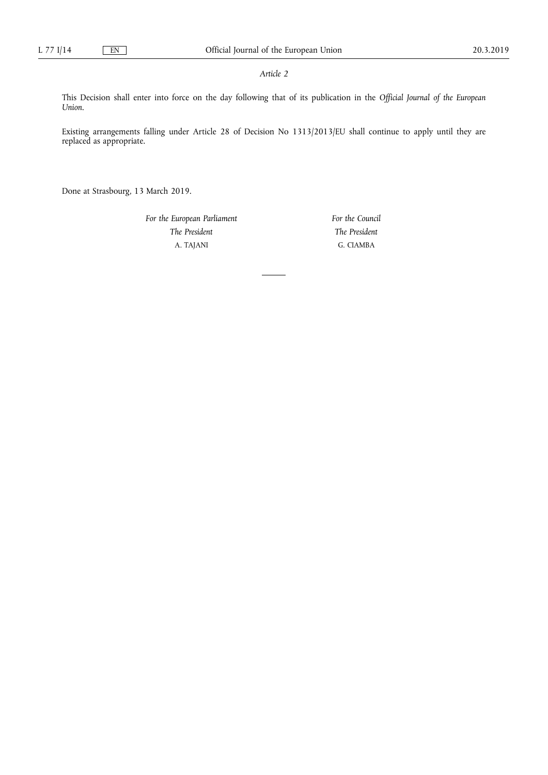## *Article 2*

This Decision shall enter into force on the day following that of its publication in the *Official Journal of the European Union*.

Existing arrangements falling under Article 28 of Decision No 1313/2013/EU shall continue to apply until they are replaced as appropriate.

Done at Strasbourg, 13 March 2019.

*For the European Parliament The President*  A. TAJANI

*For the Council The President*  G. CIAMBA